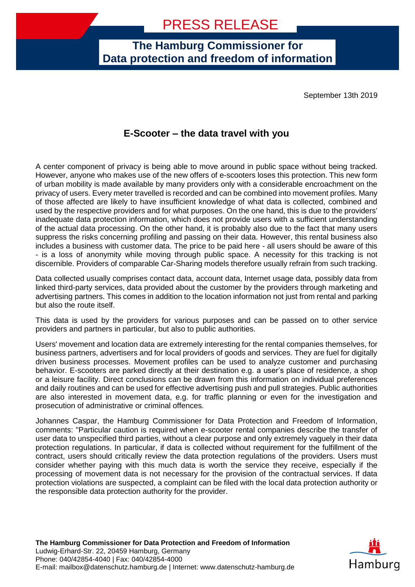**The Hamburg Commissioner for Data protection and freedom of information**

September 13th 2019

## **E-Scooter – the data travel with you**

A center component of privacy is being able to move around in public space without being tracked. However, anyone who makes use of the new offers of e-scooters loses this protection. This new form of urban mobility is made available by many providers only with a considerable encroachment on the privacy of users. Every meter travelled is recorded and can be combined into movement profiles. Many of those affected are likely to have insufficient knowledge of what data is collected, combined and used by the respective providers and for what purposes. On the one hand, this is due to the providers' inadequate data protection information, which does not provide users with a sufficient understanding of the actual data processing. On the other hand, it is probably also due to the fact that many users suppress the risks concerning profiling and passing on their data. However, this rental business also includes a business with customer data. The price to be paid here - all users should be aware of this - is a loss of anonymity while moving through public space. A necessity for this tracking is not discernible. Providers of comparable Car-Sharing models therefore usually refrain from such tracking.

Data collected usually comprises contact data, account data, Internet usage data, possibly data from linked third-party services, data provided about the customer by the providers through marketing and advertising partners. This comes in addition to the location information not just from rental and parking but also the route itself.

This data is used by the providers for various purposes and can be passed on to other service providers and partners in particular, but also to public authorities.

Users' movement and location data are extremely interesting for the rental companies themselves, for business partners, advertisers and for local providers of goods and services. They are fuel for digitally driven business processes. Movement profiles can be used to analyze customer and purchasing behavior. E-scooters are parked directly at their destination e.g. a user's place of residence, a shop or a leisure facility. Direct conclusions can be drawn from this information on individual preferences and daily routines and can be used for effective advertising push and pull strategies. Public authorities are also interested in movement data, e.g. for traffic planning or even for the investigation and prosecution of administrative or criminal offences.

Johannes Caspar, the Hamburg Commissioner for Data Protection and Freedom of Information, comments: "Particular caution is required when e-scooter rental companies describe the transfer of user data to unspecified third parties, without a clear purpose and only extremely vaguely in their data protection regulations. In particular, if data is collected without requirement for the fulfillment of the contract, users should critically review the data protection regulations of the providers. Users must consider whether paying with this much data is worth the service they receive, especially if the processing of movement data is not necessary for the provision of the contractual services. If data protection violations are suspected, a complaint can be filed with the local data protection authority or the responsible data protection authority for the provider.